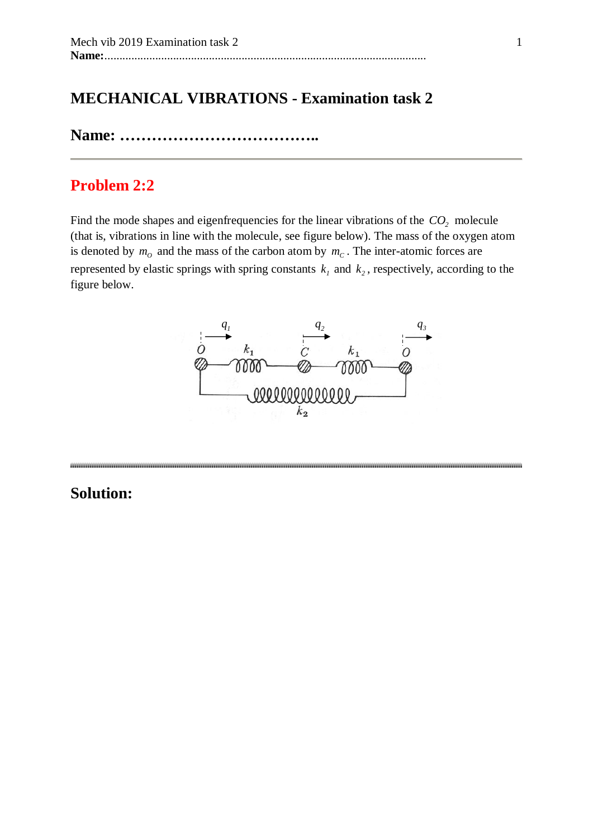# **MECHANICAL VIBRATIONS - Examination task 2**

**Name: ………………………………..**

## **Problem 2:2**

Find the mode shapes and eigenfrequencies for the linear vibrations of the  $CO<sub>2</sub>$  molecule (that is, vibrations in line with the molecule, see figure below). The mass of the oxygen atom is denoted by  $m<sub>O</sub>$  and the mass of the carbon atom by  $m<sub>C</sub>$ . The inter-atomic forces are represented by elastic springs with spring constants  $k_1$  and  $k_2$ , respectively, according to the figure below.



####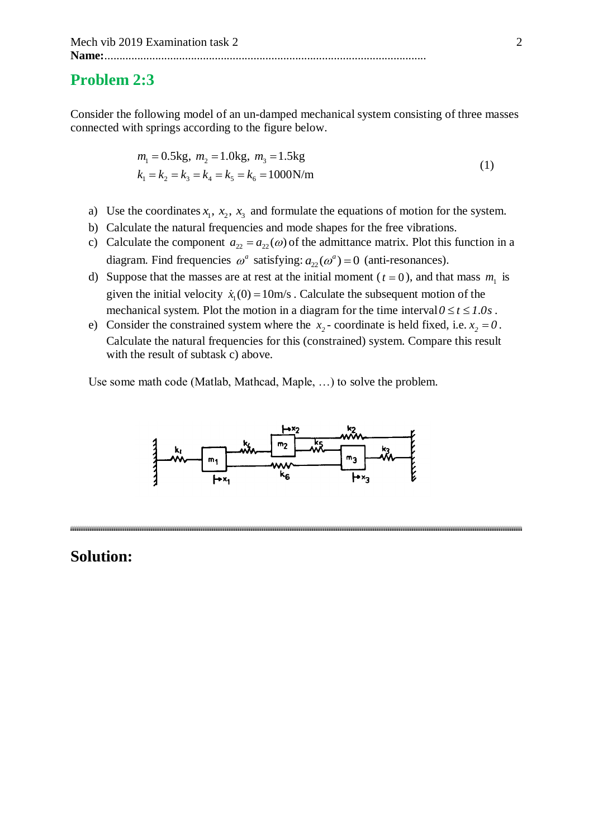### **Problem 2:3**

Consider the following model of an un-damped mechanical system consisting of three masses connected with springs according to the figure below.

$$
m_1 = 0.5 \text{kg}, m_2 = 1.0 \text{kg}, m_3 = 1.5 \text{kg}
$$
  
\n $k_1 = k_2 = k_3 = k_4 = k_5 = k_6 = 1000 \text{N/m}$  (1)

- a) Use the coordinates  $x_1, x_2, x_3$  and formulate the equations of motion for the system.
- b) Calculate the natural frequencies and mode shapes for the free vibrations.
- c) Calculate the component  $a_{22} = a_{22}(\omega)$  of the admittance matrix. Plot this function in a diagram. Find frequencies  $\omega^a$  satisfying:  $a_{22}(\omega^a) = 0$  (anti-resonances).
- d) Suppose that the masses are at rest at the initial moment ( $t = 0$ ), and that mass  $m_1$  is given the initial velocity  $\dot{x}_1(0) = 10$ m/s. Calculate the subsequent motion of the mechanical system. Plot the motion in a diagram for the time interval  $0 \le t \le 1.0s$ .
- e) Consider the constrained system where the  $x_2$  coordinate is held fixed, i.e.  $x_2 = 0$ . Calculate the natural frequencies for this (constrained) system. Compare this result with the result of subtask c) above.

Use some math code (Matlab, Mathcad, Maple, …) to solve the problem.

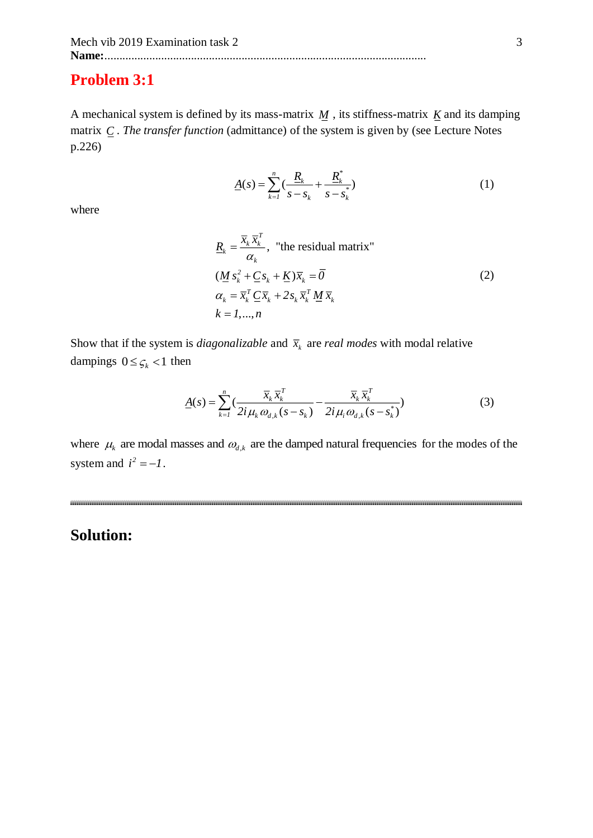### **Problem 3:1**

A mechanical system is defined by its mass-matrix  $M$ , its stiffness-matrix  $K$  and its damping matrix *<sup>C</sup>* . *The transfer function* (admittance) of the system is given by (see Lecture Notes p.226)

$$
\underline{A}(s) = \sum_{k=1}^{n} \left( \frac{\underline{R}_k}{s - s_k} + \frac{\underline{R}_k^*}{s - s_k^*} \right) \tag{1}
$$

where

$$
\underline{R}_k = \frac{\overline{x}_k \overline{x}_k^T}{\alpha_k}, \text{ "the residual matrix"}
$$
  
\n
$$
(\underline{M} s_k^2 + \underline{C} s_k + \underline{K}) \overline{x}_k = \overline{0}
$$
  
\n
$$
\alpha_k = \overline{x}_k^T \underline{C} \overline{x}_k + 2s_k \overline{x}_k^T \underline{M} \overline{x}_k
$$
  
\n
$$
k = 1, ..., n
$$
\n(2)

Show that if the system is *diagonalizable* and  $\bar{x}_k$  are *real modes* with modal relative dampings  $0 \leq \varsigma_k < 1$  then

$$
\underline{A}(s) = \sum_{k=1}^{n} \left( \frac{\overline{x}_k \,\overline{x}_k^T}{2i \,\mu_k \,\omega_{d,k}(s - s_k)} - \frac{\overline{x}_k \,\overline{x}_k^T}{2i \,\mu_i \,\omega_{d,k}(s - s_k^*)} \right) \tag{3}
$$

where  $\mu_k$  are modal masses and  $\omega_{d,k}$  are the damped natural frequencies for the modes of the system and  $i^2 = -1$ .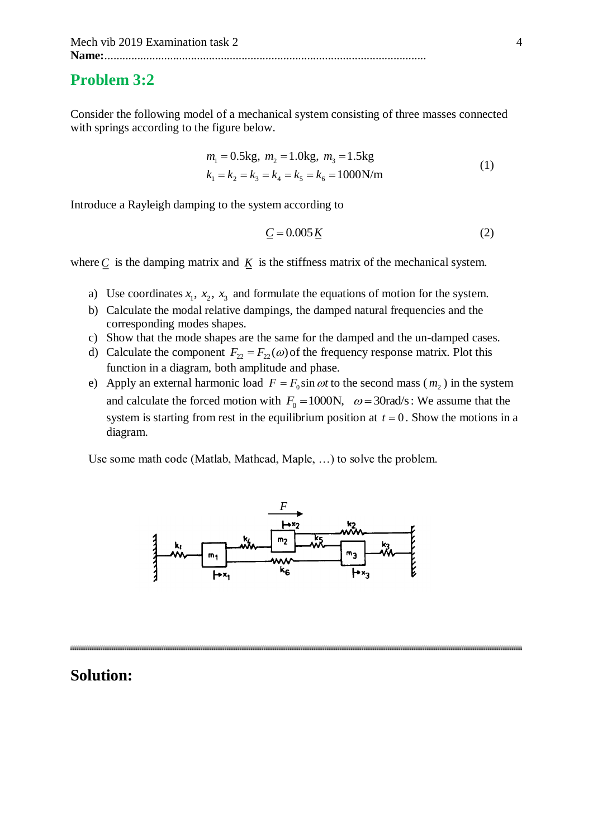### **Problem 3:2**

Consider the following model of a mechanical system consisting of three masses connected with springs according to the figure below.

$$
m_1 = 0.5 \text{kg}, \ m_2 = 1.0 \text{kg}, \ m_3 = 1.5 \text{kg}
$$
  
\n
$$
k_1 = k_2 = k_3 = k_4 = k_5 = k_6 = 1000 \text{N/m}
$$
 (1)

Introduce a Rayleigh damping to the system according to

$$
\underline{C} = 0.005 \,\underline{K} \tag{2}
$$

where  $C$  is the damping matrix and  $K$  is the stiffness matrix of the mechanical system.

- a) Use coordinates  $x_1$ ,  $x_2$ ,  $x_3$  and formulate the equations of motion for the system.
- b) Calculate the modal relative dampings, the damped natural frequencies and the corresponding modes shapes.
- c) Show that the mode shapes are the same for the damped and the un-damped cases.
- d) Calculate the component  $F_{22} = F_{22}(\omega)$  of the frequency response matrix. Plot this function in a diagram, both amplitude and phase.
- e) Apply an external harmonic load  $F = F_0 \sin \omega t$  to the second mass  $(m_2)$  in the system and calculate the forced motion with  $F_0 = 1000$ N,  $\omega = 30$  rad/s: We assume that the system is starting from rest in the equilibrium position at  $t = 0$ . Show the motions in a diagram.

Use some math code (Matlab, Mathcad, Maple, …) to solve the problem.